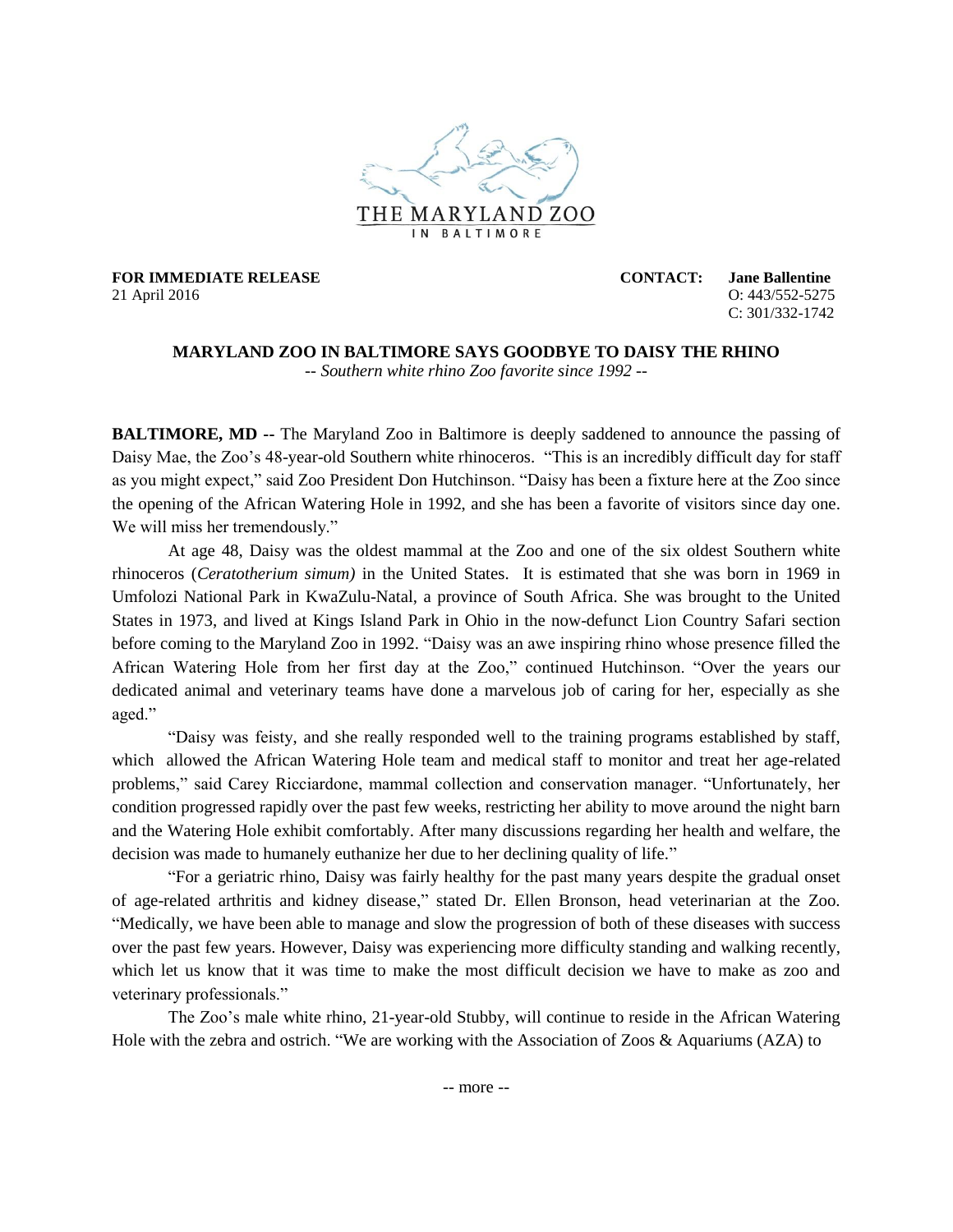

**FOR IMMEDIATE RELEASE CONTACT: Jane Ballentine** 21 April 2016 O: 443/552-5275

C: 301/332-1742

## **MARYLAND ZOO IN BALTIMORE SAYS GOODBYE TO DAISY THE RHINO** *-- Southern white rhino Zoo favorite since 1992 --*

**BALTIMORE, MD --** The Maryland Zoo in Baltimore is deeply saddened to announce the passing of Daisy Mae, the Zoo's 48-year-old Southern white rhinoceros. "This is an incredibly difficult day for staff as you might expect," said Zoo President Don Hutchinson. "Daisy has been a fixture here at the Zoo since the opening of the African Watering Hole in 1992, and she has been a favorite of visitors since day one. We will miss her tremendously."

At age 48, Daisy was the oldest mammal at the Zoo and one of the six oldest Southern white rhinoceros (*Ceratotherium simum)* in the United States. It is estimated that she was born in 1969 in Umfolozi National Park in KwaZulu-Natal, a province of South Africa. She was brought to the United States in 1973, and lived at Kings Island Park in Ohio in the now-defunct Lion Country Safari section before coming to the Maryland Zoo in 1992. "Daisy was an awe inspiring rhino whose presence filled the African Watering Hole from her first day at the Zoo," continued Hutchinson. "Over the years our dedicated animal and veterinary teams have done a marvelous job of caring for her, especially as she aged."

"Daisy was feisty, and she really responded well to the training programs established by staff, which allowed the African Watering Hole team and medical staff to monitor and treat her age-related problems," said Carey Ricciardone, mammal collection and conservation manager. "Unfortunately, her condition progressed rapidly over the past few weeks, restricting her ability to move around the night barn and the Watering Hole exhibit comfortably. After many discussions regarding her health and welfare, the decision was made to humanely euthanize her due to her declining quality of life."

"For a geriatric rhino, Daisy was fairly healthy for the past many years despite the gradual onset of age-related arthritis and kidney disease," stated Dr. Ellen Bronson, head veterinarian at the Zoo. "Medically, we have been able to manage and slow the progression of both of these diseases with success over the past few years. However, Daisy was experiencing more difficulty standing and walking recently, which let us know that it was time to make the most difficult decision we have to make as zoo and veterinary professionals."

The Zoo's male white rhino, 21-year-old Stubby, will continue to reside in the African Watering Hole with the zebra and ostrich. "We are working with the Association of Zoos & Aquariums (AZA) to